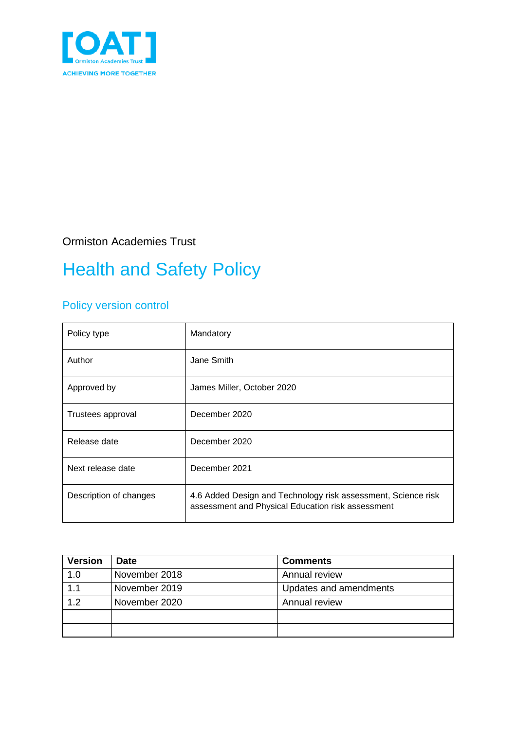

Ormiston Academies Trust

# Health and Safety Policy

### Policy version control

| Policy type            | Mandatory                                                                                                          |
|------------------------|--------------------------------------------------------------------------------------------------------------------|
| Author                 | Jane Smith                                                                                                         |
| Approved by            | James Miller, October 2020                                                                                         |
| Trustees approval      | December 2020                                                                                                      |
| Release date           | December 2020                                                                                                      |
| Next release date      | December 2021                                                                                                      |
| Description of changes | 4.6 Added Design and Technology risk assessment, Science risk<br>assessment and Physical Education risk assessment |

| <b>Version</b> | <b>Date</b>   | <b>Comments</b>        |
|----------------|---------------|------------------------|
| 1.0            | November 2018 | Annual review          |
| 1.1            | November 2019 | Updates and amendments |
| 1.2            | November 2020 | Annual review          |
|                |               |                        |
|                |               |                        |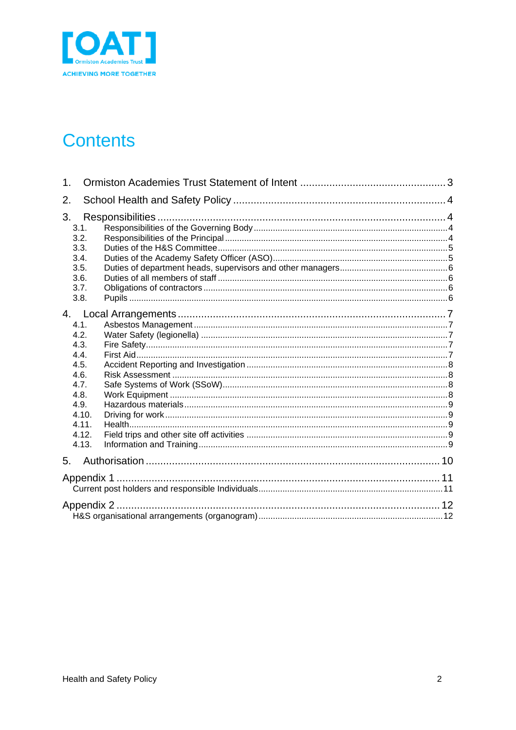

## **Contents**

| 1.                                                                                                             |  |
|----------------------------------------------------------------------------------------------------------------|--|
| 2.                                                                                                             |  |
| 3.<br>3.1.<br>3.2.<br>3.3.<br>3.4.<br>3.5.<br>3.6.<br>3.7.<br>3.8.                                             |  |
| 4.<br>4.1.<br>4.2.<br>4.3.<br>4.4.<br>4.5.<br>4.6.<br>4.7.<br>4.8.<br>4.9.<br>4.10.<br>4.11.<br>4.12.<br>4.13. |  |
| 5.                                                                                                             |  |
| Appendix 1                                                                                                     |  |
| Appendix 2                                                                                                     |  |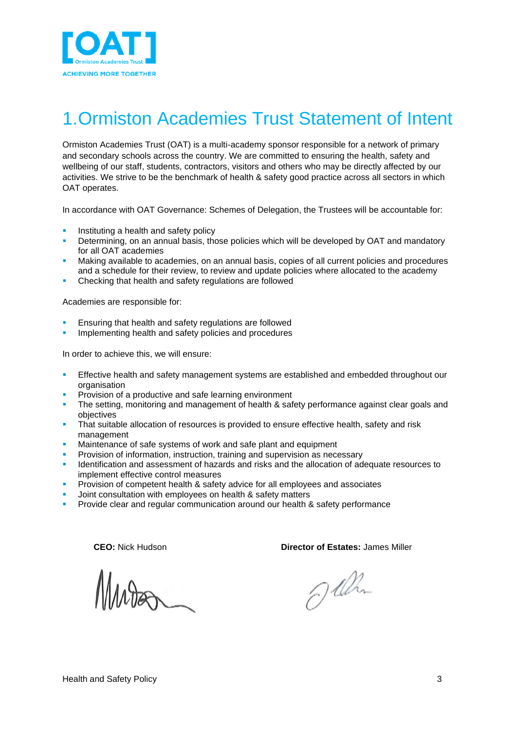

### <span id="page-2-0"></span>1.Ormiston Academies Trust Statement of Intent

Ormiston Academies Trust (OAT) is a multi-academy sponsor responsible for a network of primary and secondary schools across the country. We are committed to ensuring the health, safety and wellbeing of our staff, students, contractors, visitors and others who may be directly affected by our activities. We strive to be the benchmark of health & safety good practice across all sectors in which OAT operates.

In accordance with OAT Governance: Schemes of Delegation, the Trustees will be accountable for:

- Instituting a health and safety policy
- Determining, on an annual basis, those policies which will be developed by OAT and mandatory for all OAT academies
- Making available to academies, on an annual basis, copies of all current policies and procedures and a schedule for their review, to review and update policies where allocated to the academy
- Checking that health and safety regulations are followed

Academies are responsible for:

- Ensuring that health and safety regulations are followed
- Implementing health and safety policies and procedures

In order to achieve this, we will ensure:

- Effective health and safety management systems are established and embedded throughout our organisation
- Provision of a productive and safe learning environment
- The setting, monitoring and management of health & safety performance against clear goals and objectives
- That suitable allocation of resources is provided to ensure effective health, safety and risk management
- **EXEDENT** Maintenance of safe systems of work and safe plant and equipment
- Provision of information, instruction, training and supervision as necessary
- Identification and assessment of hazards and risks and the allocation of adequate resources to implement effective control measures
- Provision of competent health & safety advice for all employees and associates
- Joint consultation with employees on health & safety matters
- Provide clear and regular communication around our health & safety performance

**CEO:** Nick Hudson **Director of Estates:** James Miller

@ lilm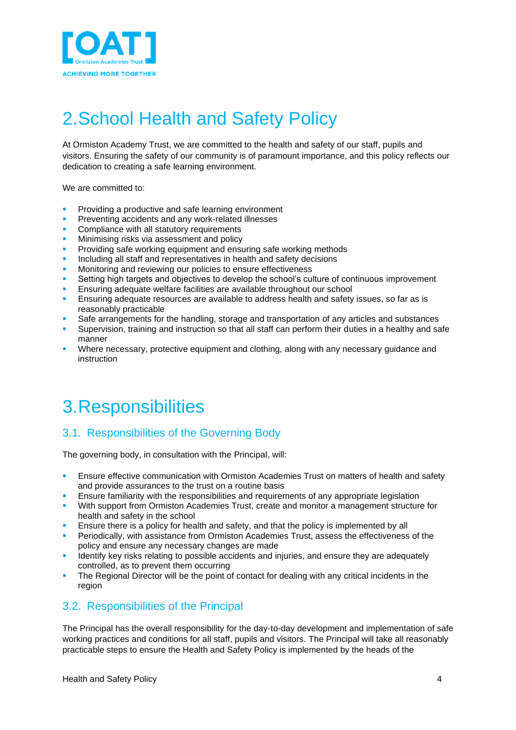

## <span id="page-3-0"></span>2.School Health and Safety Policy

At Ormiston Academy Trust, we are committed to the health and safety of our staff, pupils and visitors. Ensuring the safety of our community is of paramount importance, and this policy reflects our dedication to creating a safe learning environment.

We are committed to:

- Providing a productive and safe learning environment
- Preventing accidents and any work-related illnesses
- Compliance with all statutory requirements
- Minimising risks via assessment and policy
- Providing safe working equipment and ensuring safe working methods
- Including all staff and representatives in health and safety decisions
- Monitoring and reviewing our policies to ensure effectiveness
- Setting high targets and objectives to develop the school's culture of continuous improvement
- Ensuring adequate welfare facilities are available throughout our school
- Ensuring adequate resources are available to address health and safety issues, so far as is reasonably practicable
- Safe arrangements for the handling, storage and transportation of any articles and substances
- Supervision, training and instruction so that all staff can perform their duties in a healthy and safe manner
- Where necessary, protective equipment and clothing, along with any necessary guidance and instruction

## <span id="page-3-1"></span>3.Responsibilities

#### <span id="page-3-2"></span>3.1. Responsibilities of the Governing Body

The governing body, in consultation with the Principal, will:

- Ensure effective communication with Ormiston Academies Trust on matters of health and safety and provide assurances to the trust on a routine basis
- Ensure familiarity with the responsibilities and requirements of any appropriate legislation
- With support from Ormiston Academies Trust, create and monitor a management structure for health and safety in the school
- Ensure there is a policy for health and safety, and that the policy is implemented by all
- Periodically, with assistance from Ormiston Academies Trust, assess the effectiveness of the policy and ensure any necessary changes are made
- **EXECUTE:** Identify key risks relating to possible accidents and injuries, and ensure they are adequately controlled, as to prevent them occurring
- The Regional Director will be the point of contact for dealing with any critical incidents in the region

#### <span id="page-3-3"></span>3.2. Responsibilities of the Principal

The Principal has the overall responsibility for the day-to-day development and implementation of safe working practices and conditions for all staff, pupils and visitors. The Principal will take all reasonably practicable steps to ensure the Health and Safety Policy is implemented by the heads of the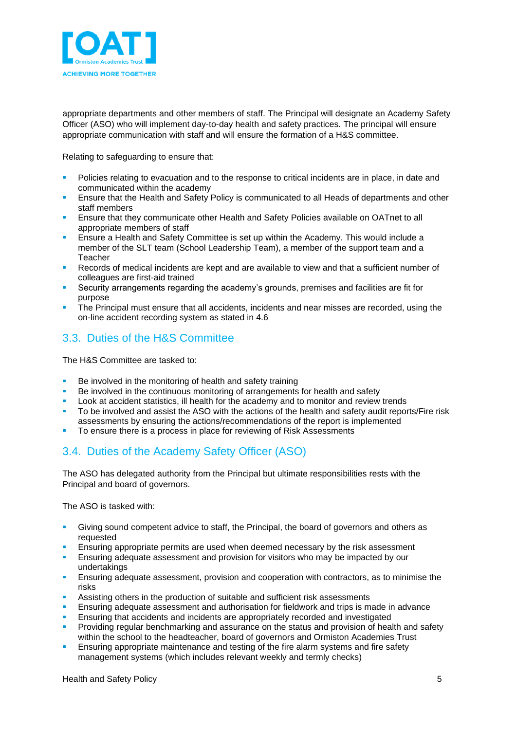

appropriate departments and other members of staff. The Principal will designate an Academy Safety Officer (ASO) who will implement day-to-day health and safety practices. The principal will ensure appropriate communication with staff and will ensure the formation of a H&S committee.

Relating to safeguarding to ensure that:

- Policies relating to evacuation and to the response to critical incidents are in place, in date and communicated within the academy
- Ensure that the Health and Safety Policy is communicated to all Heads of departments and other staff members
- Ensure that they communicate other Health and Safety Policies available on OATnet to all appropriate members of staff
- Ensure a Health and Safety Committee is set up within the Academy. This would include a member of the SLT team (School Leadership Team), a member of the support team and a **Teacher**
- Records of medical incidents are kept and are available to view and that a sufficient number of colleagues are first-aid trained
- Security arrangements regarding the academy's grounds, premises and facilities are fit for purpose
- The Principal must ensure that all accidents, incidents and near misses are recorded, using the on-line accident recording system as stated in 4.6

#### <span id="page-4-0"></span>3.3. Duties of the H&S Committee

The H&S Committee are tasked to:

- Be involved in the monitoring of health and safety training
- Be involved in the continuous monitoring of arrangements for health and safety
- Look at accident statistics, ill health for the academy and to monitor and review trends
- To be involved and assist the ASO with the actions of the health and safety audit reports/Fire risk assessments by ensuring the actions/recommendations of the report is implemented
- To ensure there is a process in place for reviewing of Risk Assessments

#### <span id="page-4-1"></span>3.4. Duties of the Academy Safety Officer (ASO)

The ASO has delegated authority from the Principal but ultimate responsibilities rests with the Principal and board of governors.

The ASO is tasked with:

- Giving sound competent advice to staff, the Principal, the board of governors and others as requested
- Ensuring appropriate permits are used when deemed necessary by the risk assessment
- Ensuring adequate assessment and provision for visitors who may be impacted by our undertakings
- Ensuring adequate assessment, provision and cooperation with contractors, as to minimise the risks
- Assisting others in the production of suitable and sufficient risk assessments
- Ensuring adequate assessment and authorisation for fieldwork and trips is made in advance
- Ensuring that accidents and incidents are appropriately recorded and investigated
- Providing regular benchmarking and assurance on the status and provision of health and safety within the school to the headteacher, board of governors and Ormiston Academies Trust
- Ensuring appropriate maintenance and testing of the fire alarm systems and fire safety management systems (which includes relevant weekly and termly checks)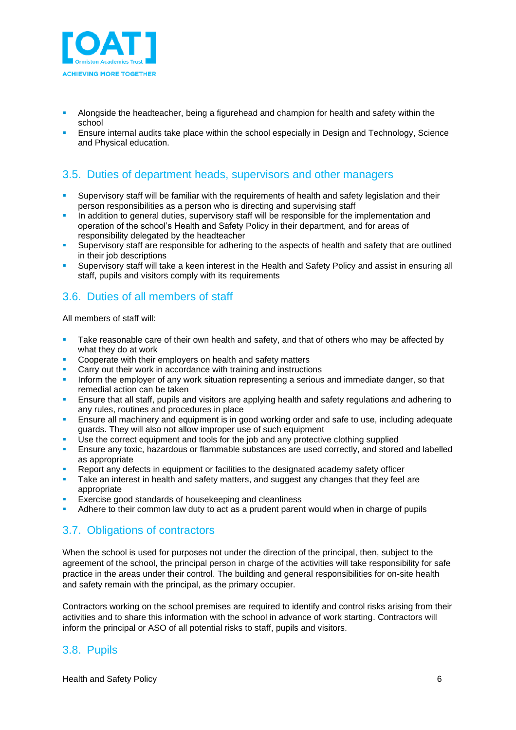

- Alongside the headteacher, being a figurehead and champion for health and safety within the school
- Ensure internal audits take place within the school especially in Design and Technology, Science and Physical education.

#### <span id="page-5-0"></span>3.5. Duties of department heads, supervisors and other managers

- Supervisory staff will be familiar with the requirements of health and safety legislation and their person responsibilities as a person who is directing and supervising staff
- In addition to general duties, supervisory staff will be responsible for the implementation and operation of the school's Health and Safety Policy in their department, and for areas of responsibility delegated by the headteacher
- Supervisory staff are responsible for adhering to the aspects of health and safety that are outlined in their job descriptions
- Supervisory staff will take a keen interest in the Health and Safety Policy and assist in ensuring all staff, pupils and visitors comply with its requirements

#### <span id="page-5-1"></span>3.6. Duties of all members of staff

All members of staff will:

- Take reasonable care of their own health and safety, and that of others who may be affected by what they do at work
- Cooperate with their employers on health and safety matters
- Carry out their work in accordance with training and instructions
- Inform the employer of any work situation representing a serious and immediate danger, so that remedial action can be taken
- Ensure that all staff, pupils and visitors are applying health and safety regulations and adhering to any rules, routines and procedures in place
- **Ensure all machinery and equipment is in good working order and safe to use, including adequate** guards. They will also not allow improper use of such equipment
- Use the correct equipment and tools for the job and any protective clothing supplied
- **E** Ensure any toxic, hazardous or flammable substances are used correctly, and stored and labelled as appropriate
- Report any defects in equipment or facilities to the designated academy safety officer
- Take an interest in health and safety matters, and suggest any changes that they feel are appropriate
- Exercise good standards of housekeeping and cleanliness
- <span id="page-5-2"></span>Adhere to their common law duty to act as a prudent parent would when in charge of pupils

#### 3.7. Obligations of contractors

When the school is used for purposes not under the direction of the principal, then, subject to the agreement of the school, the principal person in charge of the activities will take responsibility for safe practice in the areas under their control. The building and general responsibilities for on-site health and safety remain with the principal, as the primary occupier.

Contractors working on the school premises are required to identify and control risks arising from their activities and to share this information with the school in advance of work starting. Contractors will inform the principal or ASO of all potential risks to staff, pupils and visitors.

#### <span id="page-5-3"></span>3.8. Pupils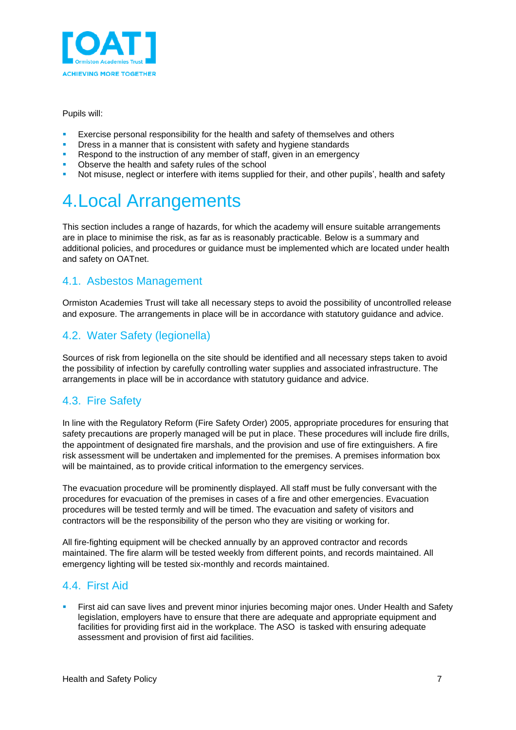

Pupils will:

- Exercise personal responsibility for the health and safety of themselves and others
- Dress in a manner that is consistent with safety and hygiene standards
- Respond to the instruction of any member of staff, given in an emergency
- Observe the health and safety rules of the school
- <span id="page-6-0"></span>Not misuse, neglect or interfere with items supplied for their, and other pupils', health and safety

### 4.Local Arrangements

This section includes a range of hazards, for which the academy will ensure suitable arrangements are in place to minimise the risk, as far as is reasonably practicable. Below is a summary and additional policies, and procedures or guidance must be implemented which are located under health and safety on OATnet.

#### <span id="page-6-1"></span>4.1. Asbestos Management

Ormiston Academies Trust will take all necessary steps to avoid the possibility of uncontrolled release and exposure. The arrangements in place will be in accordance with statutory guidance and advice.

#### <span id="page-6-2"></span>4.2. Water Safety (legionella)

Sources of risk from legionella on the site should be identified and all necessary steps taken to avoid the possibility of infection by carefully controlling water supplies and associated infrastructure. The arrangements in place will be in accordance with statutory guidance and advice.

#### <span id="page-6-3"></span>4.3. Fire Safety

In line with the Regulatory Reform (Fire Safety Order) 2005, appropriate procedures for ensuring that safety precautions are properly managed will be put in place. These procedures will include fire drills, the appointment of designated fire marshals, and the provision and use of fire extinguishers. A fire risk assessment will be undertaken and implemented for the premises. A premises information box will be maintained, as to provide critical information to the emergency services.

The evacuation procedure will be prominently displayed. All staff must be fully conversant with the procedures for evacuation of the premises in cases of a fire and other emergencies. Evacuation procedures will be tested termly and will be timed. The evacuation and safety of visitors and contractors will be the responsibility of the person who they are visiting or working for.

All fire-fighting equipment will be checked annually by an approved contractor and records maintained. The fire alarm will be tested weekly from different points, and records maintained. All emergency lighting will be tested six-monthly and records maintained.

#### <span id="page-6-4"></span>4.4. First Aid

First aid can save lives and prevent minor injuries becoming major ones. Under Health and Safety legislation, employers have to ensure that there are adequate and appropriate equipment and facilities for providing first aid in the workplace. The ASO is tasked with ensuring adequate assessment and provision of first aid facilities.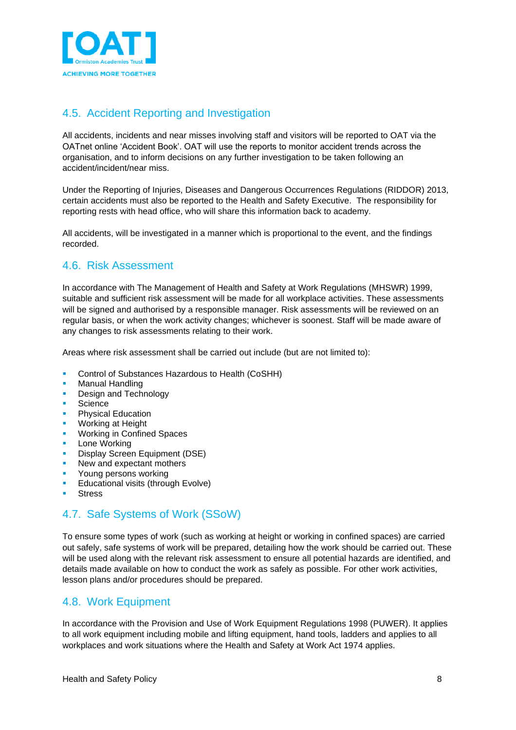

#### <span id="page-7-0"></span>4.5. Accident Reporting and Investigation

All accidents, incidents and near misses involving staff and visitors will be reported to OAT via the OATnet online 'Accident Book'. OAT will use the reports to monitor accident trends across the organisation, and to inform decisions on any further investigation to be taken following an accident/incident/near miss.

Under the Reporting of Injuries, Diseases and Dangerous Occurrences Regulations (RIDDOR) 2013, certain accidents must also be reported to the Health and Safety Executive. The responsibility for reporting rests with head office, who will share this information back to academy.

All accidents, will be investigated in a manner which is proportional to the event, and the findings recorded.

#### <span id="page-7-1"></span>4.6. Risk Assessment

In accordance with The Management of Health and Safety at Work Regulations (MHSWR) 1999, suitable and sufficient risk assessment will be made for all workplace activities. These assessments will be signed and authorised by a responsible manager. Risk assessments will be reviewed on an regular basis, or when the work activity changes; whichever is soonest. Staff will be made aware of any changes to risk assessments relating to their work.

Areas where risk assessment shall be carried out include (but are not limited to):

- Control of Substances Hazardous to Health (CoSHH)
- **Manual Handling**
- **Design and Technology**
- **Science**
- **Physical Education**
- Working at Height
- **Working in Confined Spaces**
- **Lone Working**
- Display Screen Equipment (DSE)
- New and expectant mothers
- Young persons working
- Educational visits (through Evolve)
- <span id="page-7-2"></span>**Stress**

#### 4.7. Safe Systems of Work (SSoW)

To ensure some types of work (such as working at height or working in confined spaces) are carried out safely, safe systems of work will be prepared, detailing how the work should be carried out. These will be used along with the relevant risk assessment to ensure all potential hazards are identified, and details made available on how to conduct the work as safely as possible. For other work activities, lesson plans and/or procedures should be prepared.

#### <span id="page-7-3"></span>4.8. Work Equipment

In accordance with the Provision and Use of Work Equipment Regulations 1998 (PUWER). It applies to all work equipment including mobile and lifting equipment, hand tools, ladders and applies to all workplaces and work situations where the Health and Safety at Work Act 1974 applies.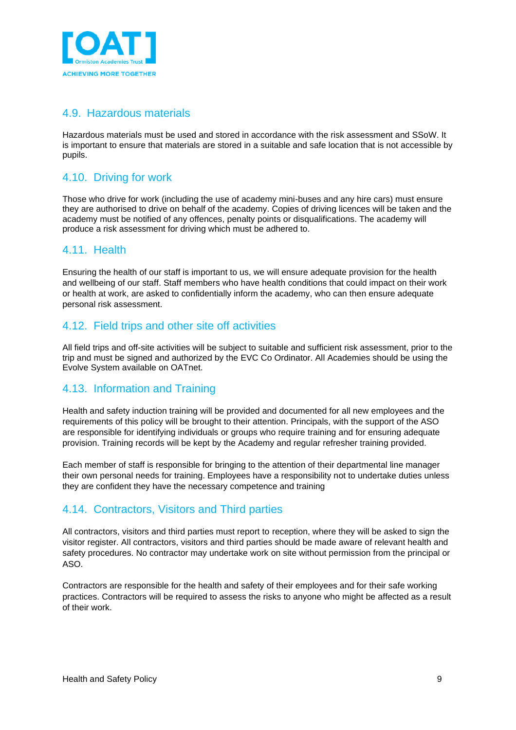

#### <span id="page-8-0"></span>4.9. Hazardous materials

Hazardous materials must be used and stored in accordance with the risk assessment and SSoW. It is important to ensure that materials are stored in a suitable and safe location that is not accessible by pupils.

#### <span id="page-8-1"></span>4.10. Driving for work

Those who drive for work (including the use of academy mini-buses and any hire cars) must ensure they are authorised to drive on behalf of the academy. Copies of driving licences will be taken and the academy must be notified of any offences, penalty points or disqualifications. The academy will produce a risk assessment for driving which must be adhered to.

#### <span id="page-8-2"></span>4.11. Health

Ensuring the health of our staff is important to us, we will ensure adequate provision for the health and wellbeing of our staff. Staff members who have health conditions that could impact on their work or health at work, are asked to confidentially inform the academy, who can then ensure adequate personal risk assessment.

#### <span id="page-8-3"></span>4.12. Field trips and other site off activities

All field trips and off-site activities will be subject to suitable and sufficient risk assessment, prior to the trip and must be signed and authorized by the EVC Co Ordinator. All Academies should be using the Evolve System available on OATnet.

#### <span id="page-8-4"></span>4.13. Information and Training

Health and safety induction training will be provided and documented for all new employees and the requirements of this policy will be brought to their attention. Principals, with the support of the ASO are responsible for identifying individuals or groups who require training and for ensuring adequate provision. Training records will be kept by the Academy and regular refresher training provided.

Each member of staff is responsible for bringing to the attention of their departmental line manager their own personal needs for training. Employees have a responsibility not to undertake duties unless they are confident they have the necessary competence and training

#### 4.14. Contractors, Visitors and Third parties

All contractors, visitors and third parties must report to reception, where they will be asked to sign the visitor register. All contractors, visitors and third parties should be made aware of relevant health and safety procedures. No contractor may undertake work on site without permission from the principal or ASO.

Contractors are responsible for the health and safety of their employees and for their safe working practices. Contractors will be required to assess the risks to anyone who might be affected as a result of their work.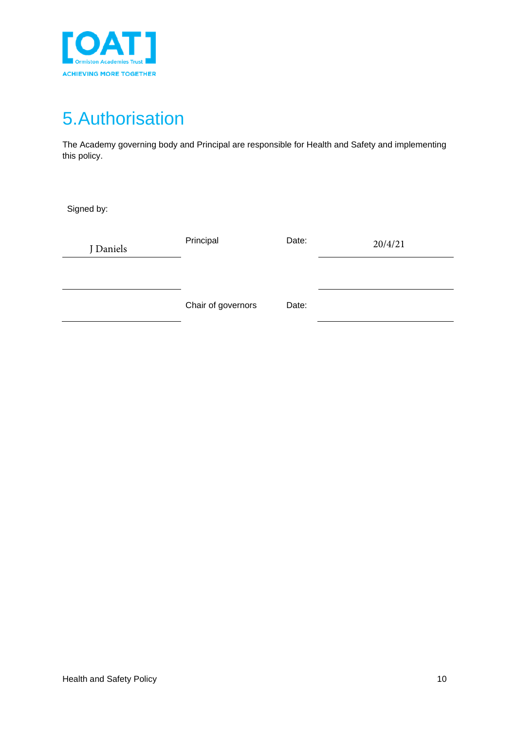

## <span id="page-9-0"></span>5.Authorisation

The Academy governing body and Principal are responsible for Health and Safety and implementing this policy.

Signed by:

| J Daniels | Principal          | Date: | 20/4/21 |
|-----------|--------------------|-------|---------|
|           | Chair of governors | Date: |         |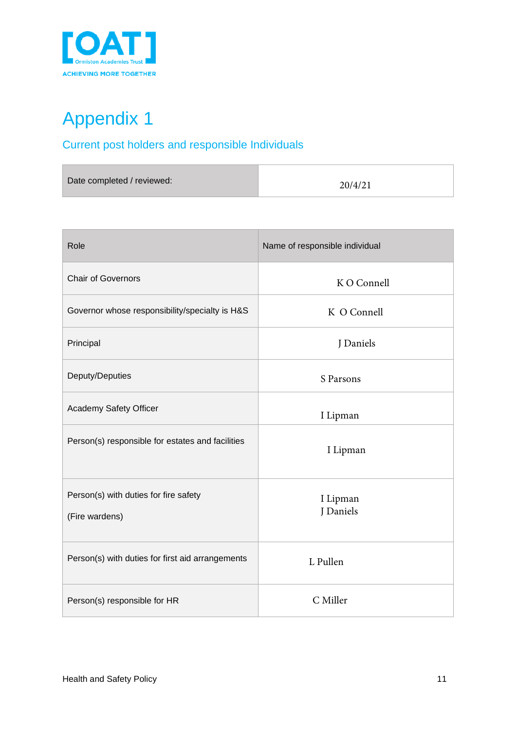

# <span id="page-10-0"></span>Appendix 1

### <span id="page-10-1"></span>Current post holders and responsible Individuals

| Date completed / reviewed: | 20/4/21 |  |
|----------------------------|---------|--|
|                            |         |  |

| Role                                                    | Name of responsible individual |  |
|---------------------------------------------------------|--------------------------------|--|
| <b>Chair of Governors</b>                               | K O Connell                    |  |
| Governor whose responsibility/specialty is H&S          | K O Connell                    |  |
| Principal                                               | J Daniels                      |  |
| Deputy/Deputies                                         | S Parsons                      |  |
| Academy Safety Officer                                  | I Lipman                       |  |
| Person(s) responsible for estates and facilities        | I Lipman                       |  |
| Person(s) with duties for fire safety<br>(Fire wardens) | I Lipman<br>J Daniels          |  |
| Person(s) with duties for first aid arrangements        | L Pullen                       |  |
| Person(s) responsible for HR                            | C Miller                       |  |